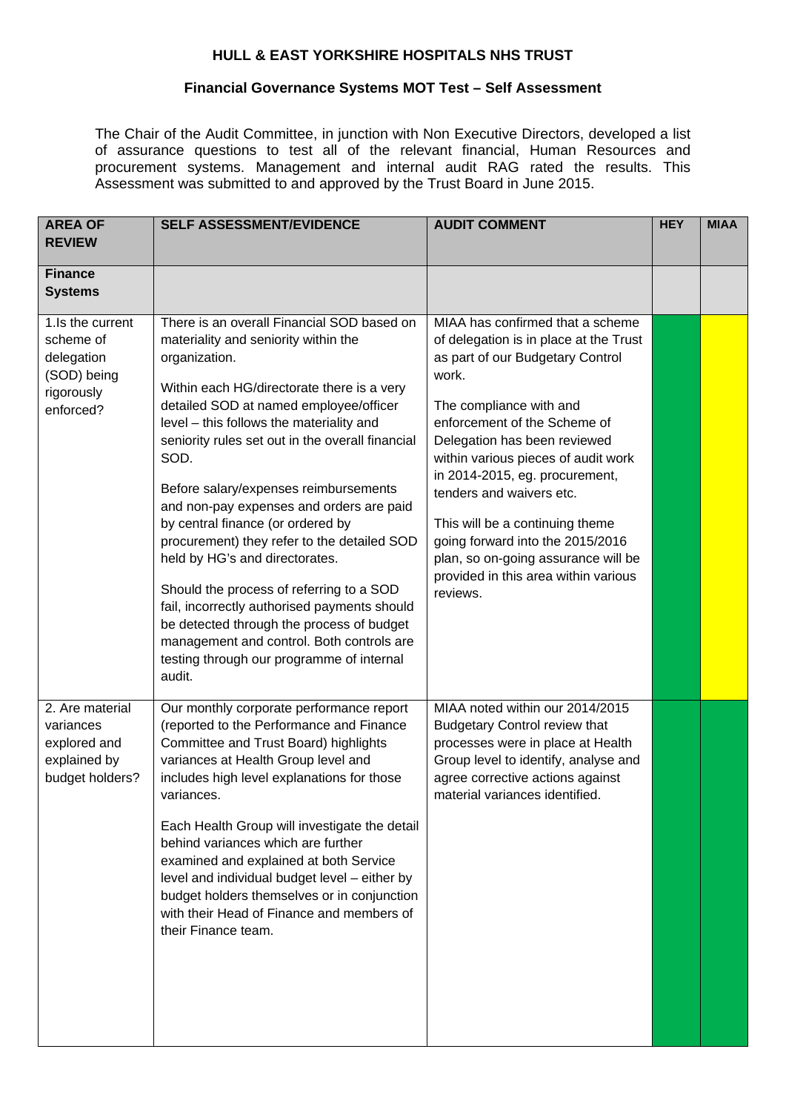## **HULL & EAST YORKSHIRE HOSPITALS NHS TRUST**

## **Financial Governance Systems MOT Test – Self Assessment**

The Chair of the Audit Committee, in junction with Non Executive Directors, developed a list of assurance questions to test all of the relevant financial, Human Resources and procurement systems. Management and internal audit RAG rated the results. This Assessment was submitted to and approved by the Trust Board in June 2015.

| <b>AREA OF</b><br><b>REVIEW</b>                                                       | <b>SELF ASSESSMENT/EVIDENCE</b>                                                                                                                                                                                                                                                                                                                                                                                                                                                                                                                                                                                                                                                                                                                             | <b>AUDIT COMMENT</b>                                                                                                                                                                                                                                                                                                                                                                                                                                                                      | <b>HEY</b> | <b>MIAA</b> |
|---------------------------------------------------------------------------------------|-------------------------------------------------------------------------------------------------------------------------------------------------------------------------------------------------------------------------------------------------------------------------------------------------------------------------------------------------------------------------------------------------------------------------------------------------------------------------------------------------------------------------------------------------------------------------------------------------------------------------------------------------------------------------------------------------------------------------------------------------------------|-------------------------------------------------------------------------------------------------------------------------------------------------------------------------------------------------------------------------------------------------------------------------------------------------------------------------------------------------------------------------------------------------------------------------------------------------------------------------------------------|------------|-------------|
| <b>Finance</b><br><b>Systems</b>                                                      |                                                                                                                                                                                                                                                                                                                                                                                                                                                                                                                                                                                                                                                                                                                                                             |                                                                                                                                                                                                                                                                                                                                                                                                                                                                                           |            |             |
| 1.Is the current<br>scheme of<br>delegation<br>(SOD) being<br>rigorously<br>enforced? | There is an overall Financial SOD based on<br>materiality and seniority within the<br>organization.<br>Within each HG/directorate there is a very<br>detailed SOD at named employee/officer<br>level - this follows the materiality and<br>seniority rules set out in the overall financial<br>SOD.<br>Before salary/expenses reimbursements<br>and non-pay expenses and orders are paid<br>by central finance (or ordered by<br>procurement) they refer to the detailed SOD<br>held by HG's and directorates.<br>Should the process of referring to a SOD<br>fail, incorrectly authorised payments should<br>be detected through the process of budget<br>management and control. Both controls are<br>testing through our programme of internal<br>audit. | MIAA has confirmed that a scheme<br>of delegation is in place at the Trust<br>as part of our Budgetary Control<br>work.<br>The compliance with and<br>enforcement of the Scheme of<br>Delegation has been reviewed<br>within various pieces of audit work<br>in 2014-2015, eg. procurement,<br>tenders and waivers etc.<br>This will be a continuing theme<br>going forward into the 2015/2016<br>plan, so on-going assurance will be<br>provided in this area within various<br>reviews. |            |             |
| 2. Are material<br>variances<br>explored and<br>explained by<br>budget holders?       | Our monthly corporate performance report<br>(reported to the Performance and Finance<br>Committee and Trust Board) highlights<br>variances at Health Group level and<br>includes high level explanations for those<br>variances.<br>Each Health Group will investigate the detail<br>behind variances which are further<br>examined and explained at both Service<br>level and individual budget level - either by<br>budget holders themselves or in conjunction<br>with their Head of Finance and members of<br>their Finance team.                                                                                                                                                                                                                       | MIAA noted within our 2014/2015<br><b>Budgetary Control review that</b><br>processes were in place at Health<br>Group level to identify, analyse and<br>agree corrective actions against<br>material variances identified.                                                                                                                                                                                                                                                                |            |             |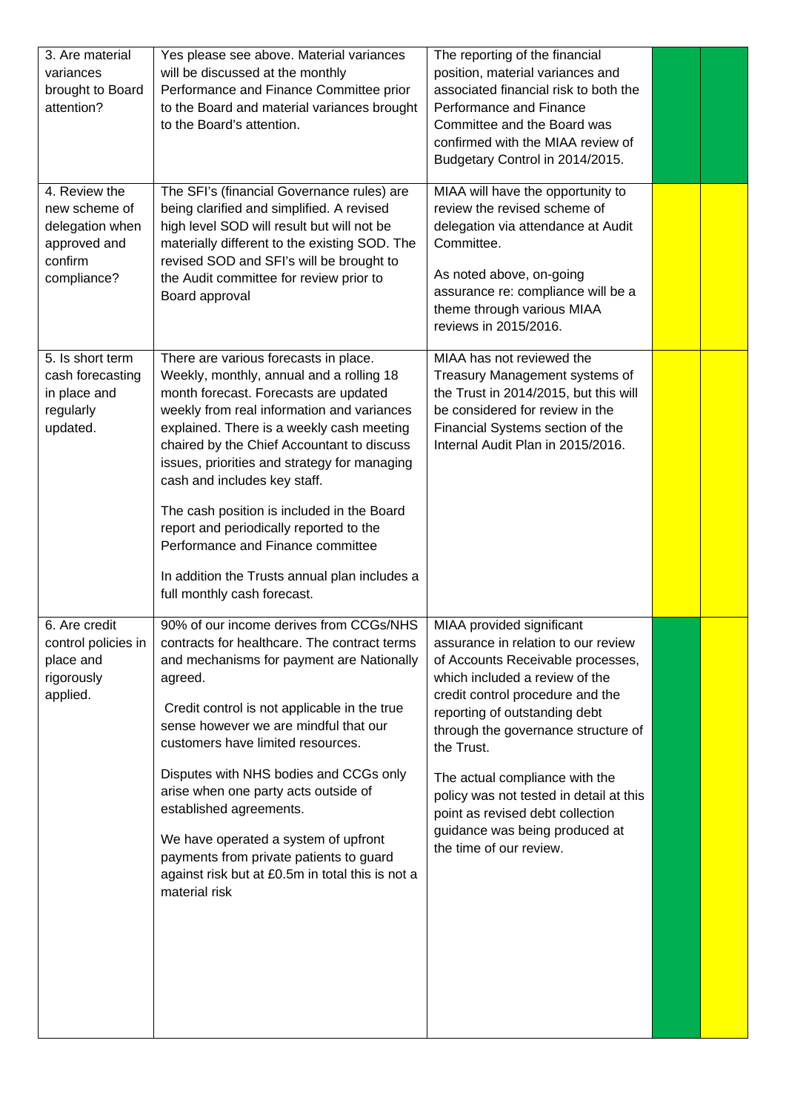| 3. Are material<br>variances<br>brought to Board<br>attention?<br>4. Review the<br>new scheme of | Yes please see above. Material variances<br>will be discussed at the monthly<br>Performance and Finance Committee prior<br>to the Board and material variances brought<br>to the Board's attention.<br>The SFI's (financial Governance rules) are<br>being clarified and simplified. A revised                                                                                                                                                                                                                                                                    | The reporting of the financial<br>position, material variances and<br>associated financial risk to both the<br>Performance and Finance<br>Committee and the Board was<br>confirmed with the MIAA review of<br>Budgetary Control in 2014/2015.<br>MIAA will have the opportunity to<br>review the revised scheme of                                                                                                                              |  |
|--------------------------------------------------------------------------------------------------|-------------------------------------------------------------------------------------------------------------------------------------------------------------------------------------------------------------------------------------------------------------------------------------------------------------------------------------------------------------------------------------------------------------------------------------------------------------------------------------------------------------------------------------------------------------------|-------------------------------------------------------------------------------------------------------------------------------------------------------------------------------------------------------------------------------------------------------------------------------------------------------------------------------------------------------------------------------------------------------------------------------------------------|--|
| delegation when<br>approved and<br>confirm<br>compliance?                                        | high level SOD will result but will not be<br>materially different to the existing SOD. The<br>revised SOD and SFI's will be brought to<br>the Audit committee for review prior to<br>Board approval                                                                                                                                                                                                                                                                                                                                                              | delegation via attendance at Audit<br>Committee.<br>As noted above, on-going<br>assurance re: compliance will be a<br>theme through various MIAA<br>reviews in 2015/2016.                                                                                                                                                                                                                                                                       |  |
| 5. Is short term<br>cash forecasting<br>in place and<br>regularly<br>updated.                    | There are various forecasts in place.<br>Weekly, monthly, annual and a rolling 18<br>month forecast. Forecasts are updated<br>weekly from real information and variances<br>explained. There is a weekly cash meeting<br>chaired by the Chief Accountant to discuss<br>issues, priorities and strategy for managing<br>cash and includes key staff.<br>The cash position is included in the Board<br>report and periodically reported to the<br>Performance and Finance committee<br>In addition the Trusts annual plan includes a<br>full monthly cash forecast. | MIAA has not reviewed the<br>Treasury Management systems of<br>the Trust in 2014/2015, but this will<br>be considered for review in the<br>Financial Systems section of the<br>Internal Audit Plan in 2015/2016.                                                                                                                                                                                                                                |  |
| 6. Are credit<br>control policies in<br>place and<br>rigorously<br>applied.                      | 90% of our income derives from CCGs/NHS<br>contracts for healthcare. The contract terms<br>and mechanisms for payment are Nationally<br>agreed.<br>Credit control is not applicable in the true<br>sense however we are mindful that our<br>customers have limited resources.<br>Disputes with NHS bodies and CCGs only<br>arise when one party acts outside of<br>established agreements.<br>We have operated a system of upfront<br>payments from private patients to guard<br>against risk but at £0.5m in total this is not a<br>material risk                | MIAA provided significant<br>assurance in relation to our review<br>of Accounts Receivable processes,<br>which included a review of the<br>credit control procedure and the<br>reporting of outstanding debt<br>through the governance structure of<br>the Trust.<br>The actual compliance with the<br>policy was not tested in detail at this<br>point as revised debt collection<br>guidance was being produced at<br>the time of our review. |  |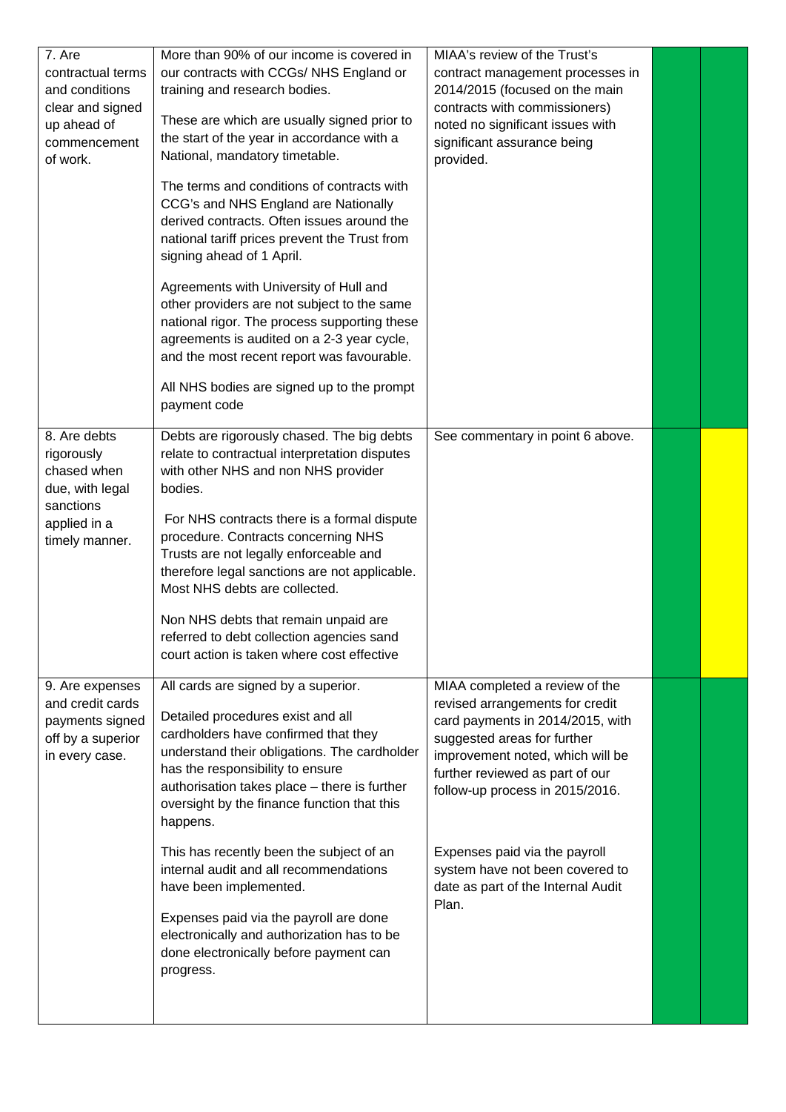| More than 90% of our income is covered in<br>our contracts with CCGs/NHS England or<br>training and research bodies.<br>These are which are usually signed prior to<br>the start of the year in accordance with a<br>National, mandatory timetable.<br>The terms and conditions of contracts with<br>CCG's and NHS England are Nationally<br>derived contracts. Often issues around the<br>national tariff prices prevent the Trust from<br>signing ahead of 1 April.<br>Agreements with University of Hull and<br>other providers are not subject to the same<br>national rigor. The process supporting these<br>agreements is audited on a 2-3 year cycle,<br>and the most recent report was favourable.<br>All NHS bodies are signed up to the prompt<br>payment code | contract management processes in<br>2014/2015 (focused on the main<br>contracts with commissioners)<br>noted no significant issues with<br>significant assurance being<br>provided.                                                                                                                                                                               |                              |  |
|--------------------------------------------------------------------------------------------------------------------------------------------------------------------------------------------------------------------------------------------------------------------------------------------------------------------------------------------------------------------------------------------------------------------------------------------------------------------------------------------------------------------------------------------------------------------------------------------------------------------------------------------------------------------------------------------------------------------------------------------------------------------------|-------------------------------------------------------------------------------------------------------------------------------------------------------------------------------------------------------------------------------------------------------------------------------------------------------------------------------------------------------------------|------------------------------|--|
| Debts are rigorously chased. The big debts<br>relate to contractual interpretation disputes<br>with other NHS and non NHS provider<br>bodies.<br>For NHS contracts there is a formal dispute<br>procedure. Contracts concerning NHS<br>Trusts are not legally enforceable and<br>therefore legal sanctions are not applicable.<br>Most NHS debts are collected.<br>Non NHS debts that remain unpaid are<br>referred to debt collection agencies sand<br>court action is taken where cost effective                                                                                                                                                                                                                                                                       | See commentary in point 6 above.                                                                                                                                                                                                                                                                                                                                  |                              |  |
| All cards are signed by a superior.<br>Detailed procedures exist and all<br>cardholders have confirmed that they<br>understand their obligations. The cardholder<br>has the responsibility to ensure<br>authorisation takes place - there is further<br>oversight by the finance function that this<br>happens.<br>This has recently been the subject of an<br>internal audit and all recommendations<br>have been implemented.<br>Expenses paid via the payroll are done<br>electronically and authorization has to be<br>done electronically before payment can<br>progress.                                                                                                                                                                                           | MIAA completed a review of the<br>revised arrangements for credit<br>card payments in 2014/2015, with<br>suggested areas for further<br>improvement noted, which will be<br>further reviewed as part of our<br>follow-up process in 2015/2016.<br>Expenses paid via the payroll<br>system have not been covered to<br>date as part of the Internal Audit<br>Plan. |                              |  |
|                                                                                                                                                                                                                                                                                                                                                                                                                                                                                                                                                                                                                                                                                                                                                                          |                                                                                                                                                                                                                                                                                                                                                                   | MIAA's review of the Trust's |  |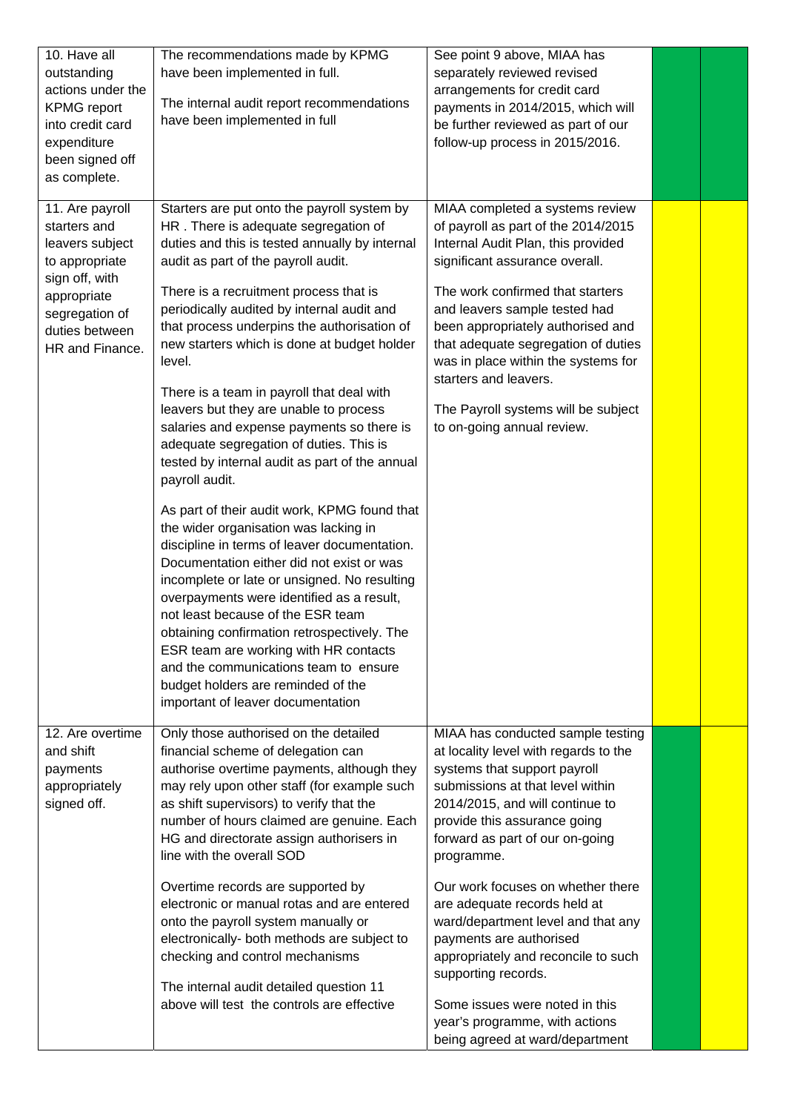| 10. Have all<br>outstanding<br>actions under the<br><b>KPMG</b> report<br>into credit card<br>expenditure<br>been signed off<br>as complete.                 | The recommendations made by KPMG<br>have been implemented in full.<br>The internal audit report recommendations<br>have been implemented in full                                                                                                                                                                                                                                                                                                                                                                                                                                                                                                                                                                                                                                                                                                                                                                                                                                                                                                                                                                                                                    | See point 9 above, MIAA has<br>separately reviewed revised<br>arrangements for credit card<br>payments in 2014/2015, which will<br>be further reviewed as part of our<br>follow-up process in 2015/2016.                                                                                                                                                                                                                                                                                                                                                                      |  |
|--------------------------------------------------------------------------------------------------------------------------------------------------------------|---------------------------------------------------------------------------------------------------------------------------------------------------------------------------------------------------------------------------------------------------------------------------------------------------------------------------------------------------------------------------------------------------------------------------------------------------------------------------------------------------------------------------------------------------------------------------------------------------------------------------------------------------------------------------------------------------------------------------------------------------------------------------------------------------------------------------------------------------------------------------------------------------------------------------------------------------------------------------------------------------------------------------------------------------------------------------------------------------------------------------------------------------------------------|-------------------------------------------------------------------------------------------------------------------------------------------------------------------------------------------------------------------------------------------------------------------------------------------------------------------------------------------------------------------------------------------------------------------------------------------------------------------------------------------------------------------------------------------------------------------------------|--|
| 11. Are payroll<br>starters and<br>leavers subject<br>to appropriate<br>sign off, with<br>appropriate<br>segregation of<br>duties between<br>HR and Finance. | Starters are put onto the payroll system by<br>HR. There is adequate segregation of<br>duties and this is tested annually by internal<br>audit as part of the payroll audit.<br>There is a recruitment process that is<br>periodically audited by internal audit and<br>that process underpins the authorisation of<br>new starters which is done at budget holder<br>level.<br>There is a team in payroll that deal with<br>leavers but they are unable to process<br>salaries and expense payments so there is<br>adequate segregation of duties. This is<br>tested by internal audit as part of the annual<br>payroll audit.<br>As part of their audit work, KPMG found that<br>the wider organisation was lacking in<br>discipline in terms of leaver documentation.<br>Documentation either did not exist or was<br>incomplete or late or unsigned. No resulting<br>overpayments were identified as a result,<br>not least because of the ESR team<br>obtaining confirmation retrospectively. The<br>ESR team are working with HR contacts<br>and the communications team to ensure<br>budget holders are reminded of the<br>important of leaver documentation | MIAA completed a systems review<br>of payroll as part of the 2014/2015<br>Internal Audit Plan, this provided<br>significant assurance overall.<br>The work confirmed that starters<br>and leavers sample tested had<br>been appropriately authorised and<br>that adequate segregation of duties<br>was in place within the systems for<br>starters and leavers.<br>The Payroll systems will be subject<br>to on-going annual review.                                                                                                                                          |  |
| 12. Are overtime<br>and shift<br>payments<br>appropriately<br>signed off.                                                                                    | Only those authorised on the detailed<br>financial scheme of delegation can<br>authorise overtime payments, although they<br>may rely upon other staff (for example such<br>as shift supervisors) to verify that the<br>number of hours claimed are genuine. Each<br>HG and directorate assign authorisers in<br>line with the overall SOD<br>Overtime records are supported by<br>electronic or manual rotas and are entered<br>onto the payroll system manually or<br>electronically- both methods are subject to<br>checking and control mechanisms<br>The internal audit detailed question 11<br>above will test the controls are effective                                                                                                                                                                                                                                                                                                                                                                                                                                                                                                                     | MIAA has conducted sample testing<br>at locality level with regards to the<br>systems that support payroll<br>submissions at that level within<br>2014/2015, and will continue to<br>provide this assurance going<br>forward as part of our on-going<br>programme.<br>Our work focuses on whether there<br>are adequate records held at<br>ward/department level and that any<br>payments are authorised<br>appropriately and reconcile to such<br>supporting records.<br>Some issues were noted in this<br>year's programme, with actions<br>being agreed at ward/department |  |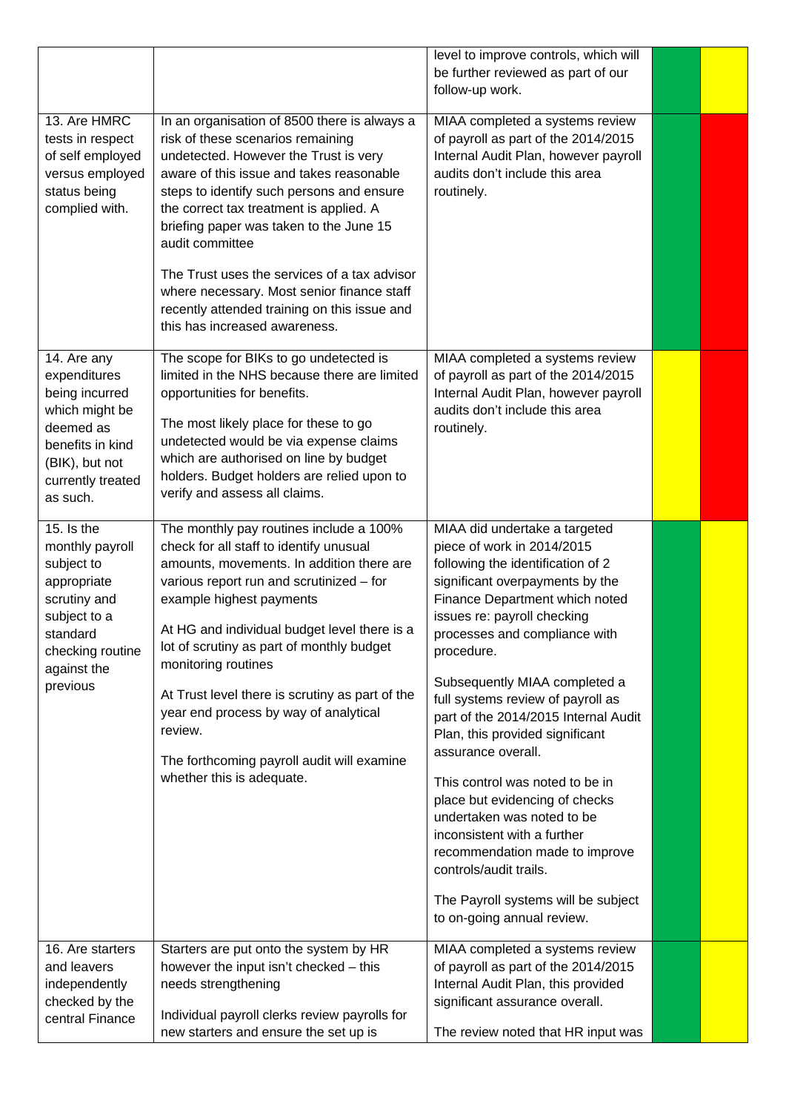|                                                                                                                                                       |                                                                                                                                                                                                                                                                                                                                                                                                                                                                                                               | level to improve controls, which will<br>be further reviewed as part of our<br>follow-up work.                                                                                                                                                                                                                                                                                                                                                                                                                                                                                                                                                                                                |  |
|-------------------------------------------------------------------------------------------------------------------------------------------------------|---------------------------------------------------------------------------------------------------------------------------------------------------------------------------------------------------------------------------------------------------------------------------------------------------------------------------------------------------------------------------------------------------------------------------------------------------------------------------------------------------------------|-----------------------------------------------------------------------------------------------------------------------------------------------------------------------------------------------------------------------------------------------------------------------------------------------------------------------------------------------------------------------------------------------------------------------------------------------------------------------------------------------------------------------------------------------------------------------------------------------------------------------------------------------------------------------------------------------|--|
| 13. Are HMRC<br>tests in respect<br>of self employed<br>versus employed<br>status being<br>complied with.                                             | In an organisation of 8500 there is always a<br>risk of these scenarios remaining<br>undetected. However the Trust is very<br>aware of this issue and takes reasonable<br>steps to identify such persons and ensure<br>the correct tax treatment is applied. A<br>briefing paper was taken to the June 15<br>audit committee<br>The Trust uses the services of a tax advisor<br>where necessary. Most senior finance staff<br>recently attended training on this issue and<br>this has increased awareness.   | MIAA completed a systems review<br>of payroll as part of the 2014/2015<br>Internal Audit Plan, however payroll<br>audits don't include this area<br>routinely.                                                                                                                                                                                                                                                                                                                                                                                                                                                                                                                                |  |
| 14. Are any<br>expenditures<br>being incurred<br>which might be<br>deemed as<br>benefits in kind<br>(BIK), but not<br>currently treated<br>as such.   | The scope for BIKs to go undetected is<br>limited in the NHS because there are limited<br>opportunities for benefits.<br>The most likely place for these to go<br>undetected would be via expense claims<br>which are authorised on line by budget<br>holders. Budget holders are relied upon to<br>verify and assess all claims.                                                                                                                                                                             | MIAA completed a systems review<br>of payroll as part of the 2014/2015<br>Internal Audit Plan, however payroll<br>audits don't include this area<br>routinely.                                                                                                                                                                                                                                                                                                                                                                                                                                                                                                                                |  |
| 15. Is the<br>monthly payroll<br>subject to<br>appropriate<br>scrutiny and<br>subject to a<br>standard<br>checking routine<br>against the<br>previous | The monthly pay routines include a 100%<br>check for all staff to identify unusual<br>amounts, movements. In addition there are<br>various report run and scrutinized - for<br>example highest payments<br>At HG and individual budget level there is a<br>lot of scrutiny as part of monthly budget<br>monitoring routines<br>At Trust level there is scrutiny as part of the<br>year end process by way of analytical<br>review.<br>The forthcoming payroll audit will examine<br>whether this is adequate. | MIAA did undertake a targeted<br>piece of work in 2014/2015<br>following the identification of 2<br>significant overpayments by the<br>Finance Department which noted<br>issues re: payroll checking<br>processes and compliance with<br>procedure.<br>Subsequently MIAA completed a<br>full systems review of payroll as<br>part of the 2014/2015 Internal Audit<br>Plan, this provided significant<br>assurance overall.<br>This control was noted to be in<br>place but evidencing of checks<br>undertaken was noted to be<br>inconsistent with a further<br>recommendation made to improve<br>controls/audit trails.<br>The Payroll systems will be subject<br>to on-going annual review. |  |
| 16. Are starters<br>and leavers<br>independently                                                                                                      | Starters are put onto the system by HR<br>however the input isn't checked - this<br>needs strengthening                                                                                                                                                                                                                                                                                                                                                                                                       | MIAA completed a systems review<br>of payroll as part of the 2014/2015<br>Internal Audit Plan, this provided                                                                                                                                                                                                                                                                                                                                                                                                                                                                                                                                                                                  |  |
| checked by the<br>central Finance                                                                                                                     | Individual payroll clerks review payrolls for<br>new starters and ensure the set up is                                                                                                                                                                                                                                                                                                                                                                                                                        | significant assurance overall.<br>The review noted that HR input was                                                                                                                                                                                                                                                                                                                                                                                                                                                                                                                                                                                                                          |  |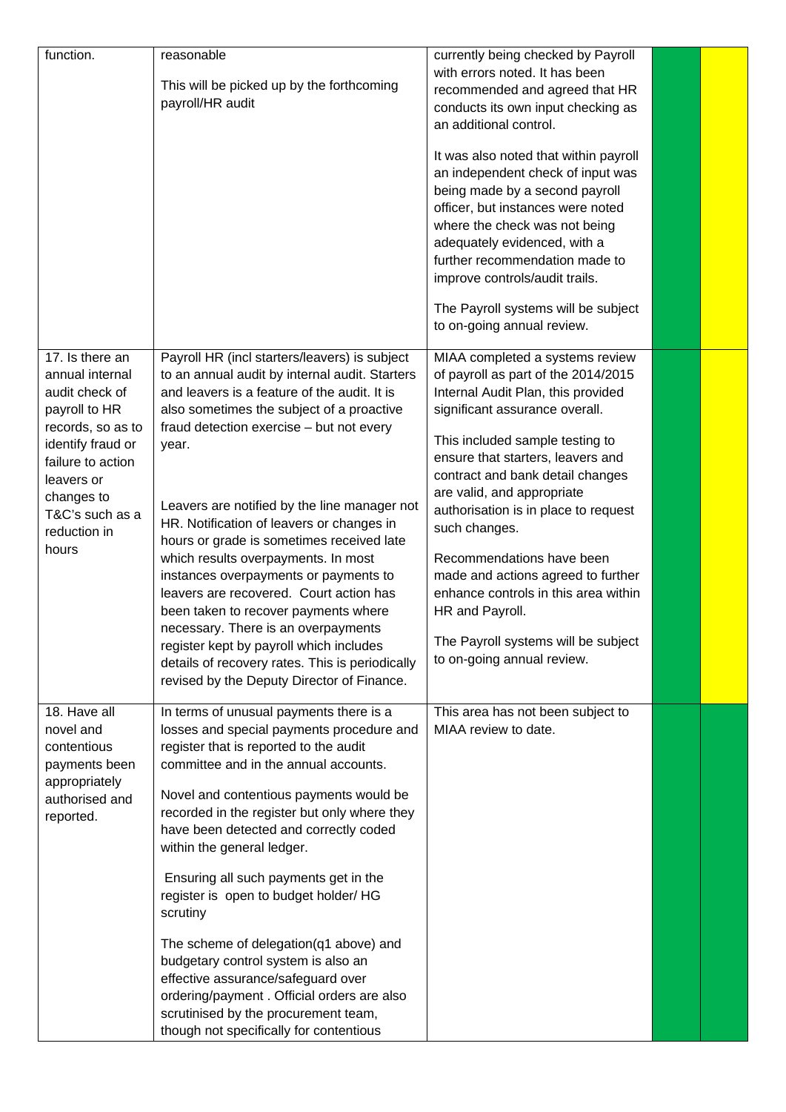| function.                                                                                                                                                                                                    | reasonable<br>This will be picked up by the forthcoming<br>payroll/HR audit                                                                                                                                                                                                                                                                                                                                                                                                                                                                                                                                                                                                                                                                       | currently being checked by Payroll<br>with errors noted. It has been<br>recommended and agreed that HR<br>conducts its own input checking as<br>an additional control.<br>It was also noted that within payroll<br>an independent check of input was<br>being made by a second payroll<br>officer, but instances were noted<br>where the check was not being<br>adequately evidenced, with a<br>further recommendation made to<br>improve controls/audit trails.<br>The Payroll systems will be subject<br>to on-going annual review.                |  |
|--------------------------------------------------------------------------------------------------------------------------------------------------------------------------------------------------------------|---------------------------------------------------------------------------------------------------------------------------------------------------------------------------------------------------------------------------------------------------------------------------------------------------------------------------------------------------------------------------------------------------------------------------------------------------------------------------------------------------------------------------------------------------------------------------------------------------------------------------------------------------------------------------------------------------------------------------------------------------|------------------------------------------------------------------------------------------------------------------------------------------------------------------------------------------------------------------------------------------------------------------------------------------------------------------------------------------------------------------------------------------------------------------------------------------------------------------------------------------------------------------------------------------------------|--|
| 17. Is there an<br>annual internal<br>audit check of<br>payroll to HR<br>records, so as to<br>identify fraud or<br>failure to action<br>leavers or<br>changes to<br>T&C's such as a<br>reduction in<br>hours | Payroll HR (incl starters/leavers) is subject<br>to an annual audit by internal audit. Starters<br>and leavers is a feature of the audit. It is<br>also sometimes the subject of a proactive<br>fraud detection exercise - but not every<br>year.<br>Leavers are notified by the line manager not<br>HR. Notification of leavers or changes in<br>hours or grade is sometimes received late<br>which results overpayments. In most<br>instances overpayments or payments to<br>leavers are recovered. Court action has<br>been taken to recover payments where<br>necessary. There is an overpayments<br>register kept by payroll which includes<br>details of recovery rates. This is periodically<br>revised by the Deputy Director of Finance. | MIAA completed a systems review<br>of payroll as part of the 2014/2015<br>Internal Audit Plan, this provided<br>significant assurance overall.<br>This included sample testing to<br>ensure that starters, leavers and<br>contract and bank detail changes<br>are valid, and appropriate<br>authorisation is in place to request<br>such changes.<br>Recommendations have been<br>made and actions agreed to further<br>enhance controls in this area within<br>HR and Payroll.<br>The Payroll systems will be subject<br>to on-going annual review. |  |
| 18. Have all<br>novel and<br>contentious<br>payments been<br>appropriately<br>authorised and<br>reported.                                                                                                    | In terms of unusual payments there is a<br>losses and special payments procedure and<br>register that is reported to the audit<br>committee and in the annual accounts.<br>Novel and contentious payments would be<br>recorded in the register but only where they<br>have been detected and correctly coded<br>within the general ledger.<br>Ensuring all such payments get in the<br>register is open to budget holder/ HG<br>scrutiny<br>The scheme of delegation(q1 above) and<br>budgetary control system is also an<br>effective assurance/safeguard over<br>ordering/payment. Official orders are also<br>scrutinised by the procurement team,<br>though not specifically for contentious                                                  | This area has not been subject to<br>MIAA review to date.                                                                                                                                                                                                                                                                                                                                                                                                                                                                                            |  |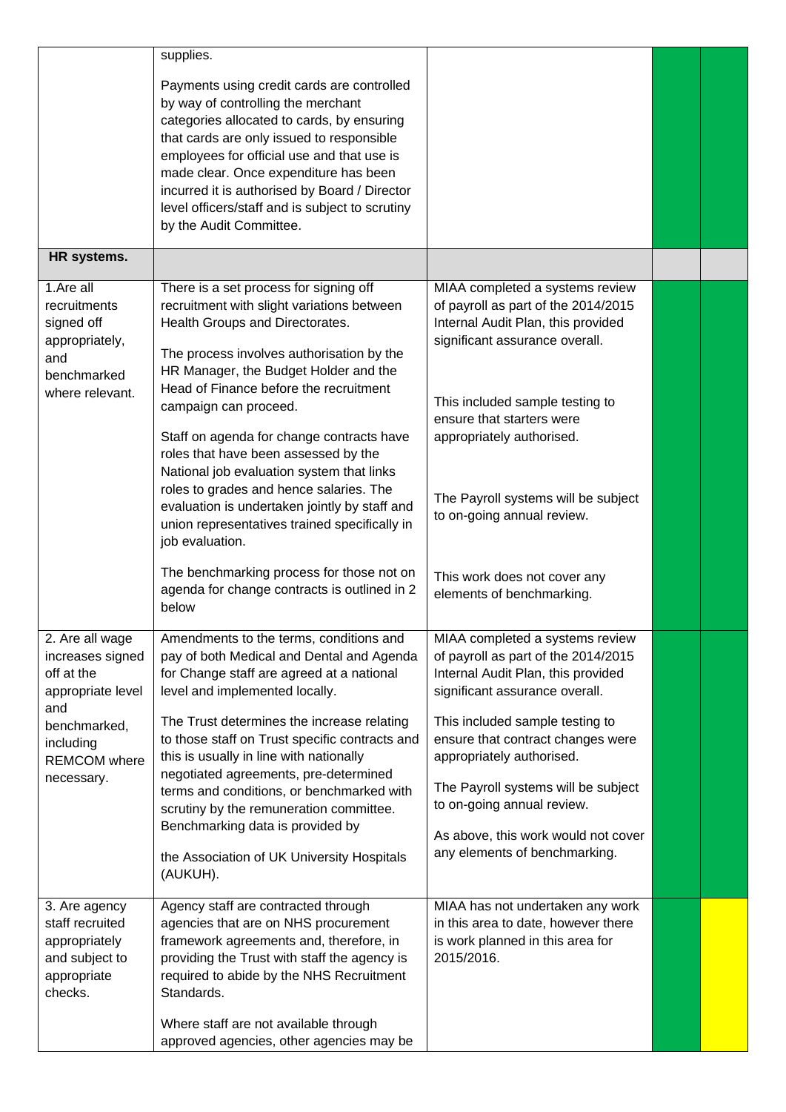| HR systems.                                                                                                                                     | supplies.<br>Payments using credit cards are controlled<br>by way of controlling the merchant<br>categories allocated to cards, by ensuring<br>that cards are only issued to responsible<br>employees for official use and that use is<br>made clear. Once expenditure has been<br>incurred it is authorised by Board / Director<br>level officers/staff and is subject to scrutiny<br>by the Audit Committee.                                                                                                                                                                                                                                                                           |                                                                                                                                                                                                                                                                                                                                                                                                  |  |
|-------------------------------------------------------------------------------------------------------------------------------------------------|------------------------------------------------------------------------------------------------------------------------------------------------------------------------------------------------------------------------------------------------------------------------------------------------------------------------------------------------------------------------------------------------------------------------------------------------------------------------------------------------------------------------------------------------------------------------------------------------------------------------------------------------------------------------------------------|--------------------------------------------------------------------------------------------------------------------------------------------------------------------------------------------------------------------------------------------------------------------------------------------------------------------------------------------------------------------------------------------------|--|
|                                                                                                                                                 |                                                                                                                                                                                                                                                                                                                                                                                                                                                                                                                                                                                                                                                                                          |                                                                                                                                                                                                                                                                                                                                                                                                  |  |
| 1.Are all<br>recruitments<br>signed off<br>appropriately,<br>and<br>benchmarked<br>where relevant.                                              | There is a set process for signing off<br>recruitment with slight variations between<br>Health Groups and Directorates.<br>The process involves authorisation by the<br>HR Manager, the Budget Holder and the<br>Head of Finance before the recruitment<br>campaign can proceed.<br>Staff on agenda for change contracts have<br>roles that have been assessed by the<br>National job evaluation system that links<br>roles to grades and hence salaries. The<br>evaluation is undertaken jointly by staff and<br>union representatives trained specifically in<br>job evaluation.<br>The benchmarking process for those not on<br>agenda for change contracts is outlined in 2<br>below | MIAA completed a systems review<br>of payroll as part of the 2014/2015<br>Internal Audit Plan, this provided<br>significant assurance overall.<br>This included sample testing to<br>ensure that starters were<br>appropriately authorised.<br>The Payroll systems will be subject<br>to on-going annual review.<br>This work does not cover any<br>elements of benchmarking.                    |  |
| 2. Are all wage<br>increases signed<br>off at the<br>appropriate level<br>and<br>benchmarked,<br>including<br><b>REMCOM</b> where<br>necessary. | Amendments to the terms, conditions and<br>pay of both Medical and Dental and Agenda<br>for Change staff are agreed at a national<br>level and implemented locally.<br>The Trust determines the increase relating<br>to those staff on Trust specific contracts and<br>this is usually in line with nationally<br>negotiated agreements, pre-determined<br>terms and conditions, or benchmarked with<br>scrutiny by the remuneration committee.<br>Benchmarking data is provided by<br>the Association of UK University Hospitals<br>(AUKUH).                                                                                                                                            | MIAA completed a systems review<br>of payroll as part of the 2014/2015<br>Internal Audit Plan, this provided<br>significant assurance overall.<br>This included sample testing to<br>ensure that contract changes were<br>appropriately authorised.<br>The Payroll systems will be subject<br>to on-going annual review.<br>As above, this work would not cover<br>any elements of benchmarking. |  |
| 3. Are agency<br>staff recruited<br>appropriately<br>and subject to<br>appropriate<br>checks.                                                   | Agency staff are contracted through<br>agencies that are on NHS procurement<br>framework agreements and, therefore, in<br>providing the Trust with staff the agency is<br>required to abide by the NHS Recruitment<br>Standards.<br>Where staff are not available through<br>approved agencies, other agencies may be                                                                                                                                                                                                                                                                                                                                                                    | MIAA has not undertaken any work<br>in this area to date, however there<br>is work planned in this area for<br>2015/2016.                                                                                                                                                                                                                                                                        |  |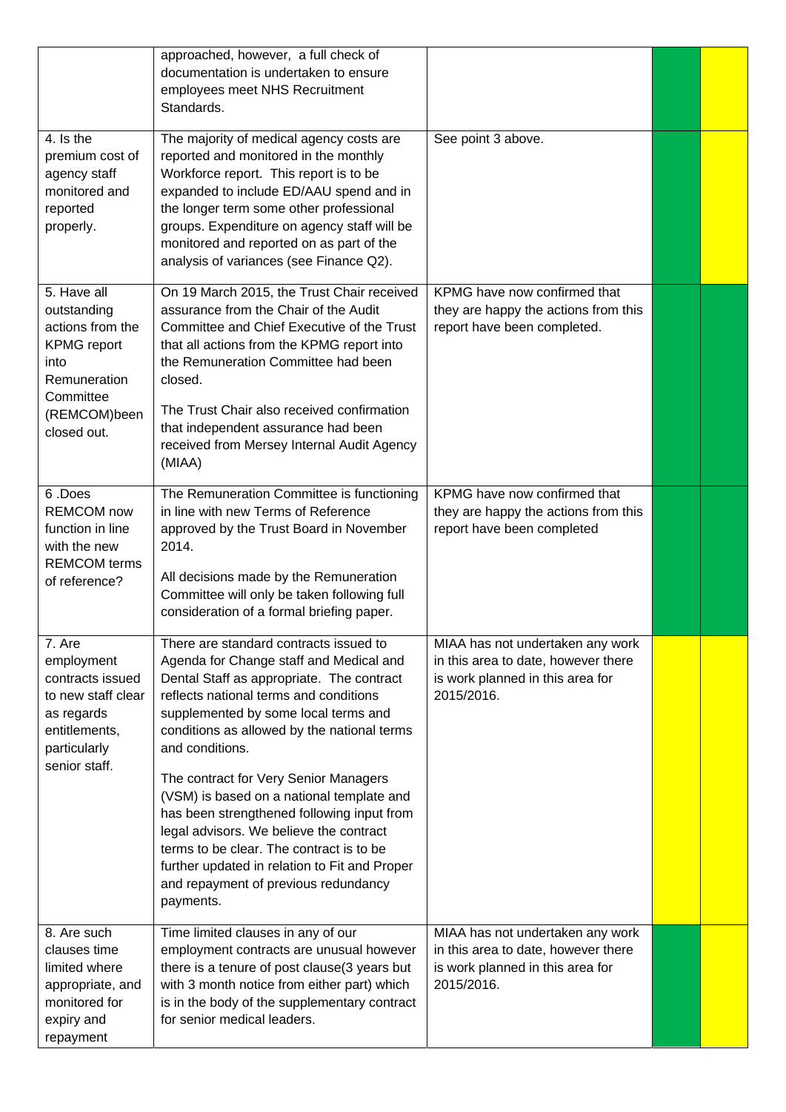|                                                                                                                                          | approached, however, a full check of<br>documentation is undertaken to ensure<br>employees meet NHS Recruitment<br>Standards.                                                                                                                                                                                                                                                                                                                                                                                                                                                                                       |                                                                                                                           |  |
|------------------------------------------------------------------------------------------------------------------------------------------|---------------------------------------------------------------------------------------------------------------------------------------------------------------------------------------------------------------------------------------------------------------------------------------------------------------------------------------------------------------------------------------------------------------------------------------------------------------------------------------------------------------------------------------------------------------------------------------------------------------------|---------------------------------------------------------------------------------------------------------------------------|--|
| 4. Is the<br>premium cost of<br>agency staff<br>monitored and<br>reported<br>properly.                                                   | The majority of medical agency costs are<br>reported and monitored in the monthly<br>Workforce report. This report is to be<br>expanded to include ED/AAU spend and in<br>the longer term some other professional<br>groups. Expenditure on agency staff will be<br>monitored and reported on as part of the<br>analysis of variances (see Finance Q2).                                                                                                                                                                                                                                                             | See point 3 above.                                                                                                        |  |
| 5. Have all<br>outstanding<br>actions from the<br><b>KPMG</b> report<br>into<br>Remuneration<br>Committee<br>(REMCOM)been<br>closed out. | On 19 March 2015, the Trust Chair received<br>assurance from the Chair of the Audit<br>Committee and Chief Executive of the Trust<br>that all actions from the KPMG report into<br>the Remuneration Committee had been<br>closed.<br>The Trust Chair also received confirmation<br>that independent assurance had been<br>received from Mersey Internal Audit Agency<br>(MIAA)                                                                                                                                                                                                                                      | KPMG have now confirmed that<br>they are happy the actions from this<br>report have been completed.                       |  |
| 6.Does<br><b>REMCOM</b> now<br>function in line<br>with the new<br><b>REMCOM</b> terms<br>of reference?                                  | The Remuneration Committee is functioning<br>in line with new Terms of Reference<br>approved by the Trust Board in November<br>2014.<br>All decisions made by the Remuneration<br>Committee will only be taken following full<br>consideration of a formal briefing paper.                                                                                                                                                                                                                                                                                                                                          | KPMG have now confirmed that<br>they are happy the actions from this<br>report have been completed                        |  |
| 7. Are<br>employment<br>contracts issued<br>to new staff clear<br>as regards<br>entitlements,<br>particularly<br>senior staff.           | There are standard contracts issued to<br>Agenda for Change staff and Medical and<br>Dental Staff as appropriate. The contract<br>reflects national terms and conditions<br>supplemented by some local terms and<br>conditions as allowed by the national terms<br>and conditions.<br>The contract for Very Senior Managers<br>(VSM) is based on a national template and<br>has been strengthened following input from<br>legal advisors. We believe the contract<br>terms to be clear. The contract is to be<br>further updated in relation to Fit and Proper<br>and repayment of previous redundancy<br>payments. | MIAA has not undertaken any work<br>in this area to date, however there<br>is work planned in this area for<br>2015/2016. |  |
| 8. Are such<br>clauses time<br>limited where<br>appropriate, and<br>monitored for<br>expiry and<br>repayment                             | Time limited clauses in any of our<br>employment contracts are unusual however<br>there is a tenure of post clause(3 years but<br>with 3 month notice from either part) which<br>is in the body of the supplementary contract<br>for senior medical leaders.                                                                                                                                                                                                                                                                                                                                                        | MIAA has not undertaken any work<br>in this area to date, however there<br>is work planned in this area for<br>2015/2016. |  |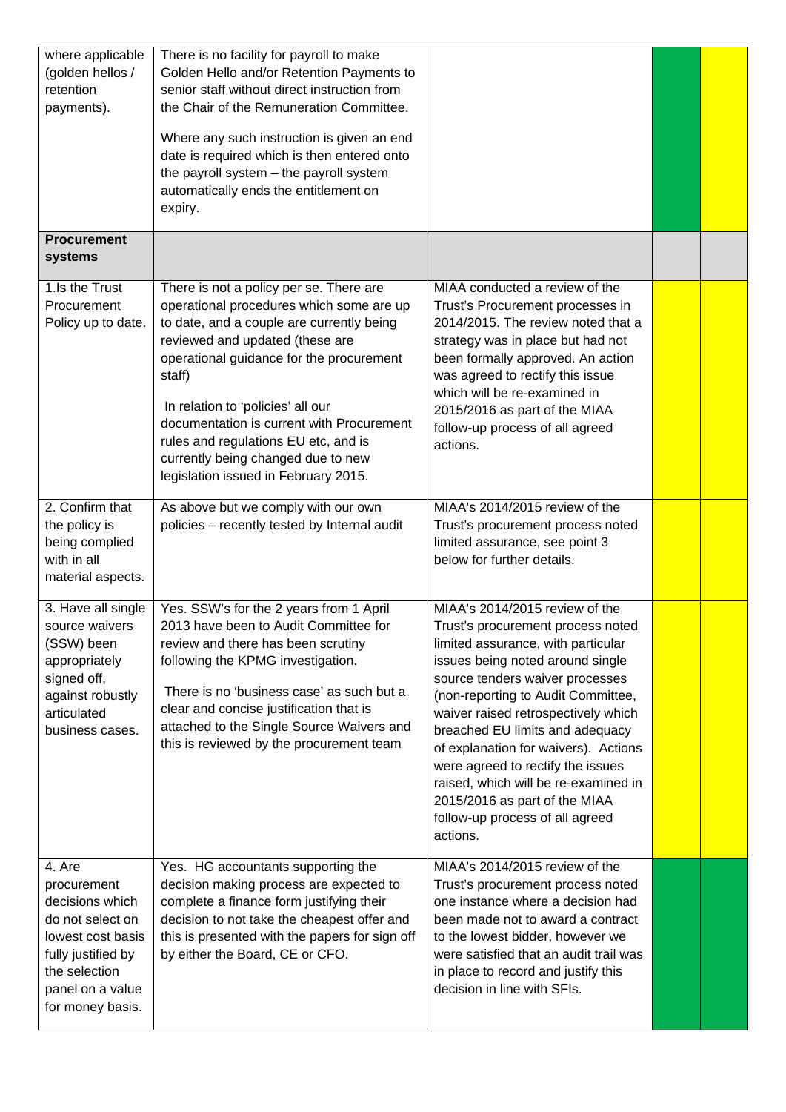| where applicable<br>(golden hellos /<br>retention<br>payments).                                                                                                  | There is no facility for payroll to make<br>Golden Hello and/or Retention Payments to<br>senior staff without direct instruction from<br>the Chair of the Remuneration Committee.<br>Where any such instruction is given an end<br>date is required which is then entered onto<br>the payroll system - the payroll system<br>automatically ends the entitlement on<br>expiry.                                                     |                                                                                                                                                                                                                                                                                                                                                                                                                                                                                                       |  |
|------------------------------------------------------------------------------------------------------------------------------------------------------------------|-----------------------------------------------------------------------------------------------------------------------------------------------------------------------------------------------------------------------------------------------------------------------------------------------------------------------------------------------------------------------------------------------------------------------------------|-------------------------------------------------------------------------------------------------------------------------------------------------------------------------------------------------------------------------------------------------------------------------------------------------------------------------------------------------------------------------------------------------------------------------------------------------------------------------------------------------------|--|
| <b>Procurement</b><br>systems                                                                                                                                    |                                                                                                                                                                                                                                                                                                                                                                                                                                   |                                                                                                                                                                                                                                                                                                                                                                                                                                                                                                       |  |
| 1.Is the Trust<br>Procurement<br>Policy up to date.                                                                                                              | There is not a policy per se. There are<br>operational procedures which some are up<br>to date, and a couple are currently being<br>reviewed and updated (these are<br>operational guidance for the procurement<br>staff)<br>In relation to 'policies' all our<br>documentation is current with Procurement<br>rules and regulations EU etc, and is<br>currently being changed due to new<br>legislation issued in February 2015. | MIAA conducted a review of the<br>Trust's Procurement processes in<br>2014/2015. The review noted that a<br>strategy was in place but had not<br>been formally approved. An action<br>was agreed to rectify this issue<br>which will be re-examined in<br>2015/2016 as part of the MIAA<br>follow-up process of all agreed<br>actions.                                                                                                                                                                |  |
| 2. Confirm that<br>the policy is<br>being complied<br>with in all<br>material aspects.                                                                           | As above but we comply with our own<br>policies - recently tested by Internal audit                                                                                                                                                                                                                                                                                                                                               | MIAA's 2014/2015 review of the<br>Trust's procurement process noted<br>limited assurance, see point 3<br>below for further details.                                                                                                                                                                                                                                                                                                                                                                   |  |
| 3. Have all single<br>source waivers<br>(SSW) been<br>appropriately<br>signed off,<br>against robustly<br>articulated<br>business cases.                         | Yes. SSW's for the 2 years from 1 April<br>2013 have been to Audit Committee for<br>review and there has been scrutiny<br>following the KPMG investigation.<br>There is no 'business case' as such but a<br>clear and concise justification that is<br>attached to the Single Source Waivers and<br>this is reviewed by the procurement team                                                                                      | MIAA's 2014/2015 review of the<br>Trust's procurement process noted<br>limited assurance, with particular<br>issues being noted around single<br>source tenders waiver processes<br>(non-reporting to Audit Committee,<br>waiver raised retrospectively which<br>breached EU limits and adequacy<br>of explanation for waivers). Actions<br>were agreed to rectify the issues<br>raised, which will be re-examined in<br>2015/2016 as part of the MIAA<br>follow-up process of all agreed<br>actions. |  |
| 4. Are<br>procurement<br>decisions which<br>do not select on<br>lowest cost basis<br>fully justified by<br>the selection<br>panel on a value<br>for money basis. | Yes. HG accountants supporting the<br>decision making process are expected to<br>complete a finance form justifying their<br>decision to not take the cheapest offer and<br>this is presented with the papers for sign off<br>by either the Board, CE or CFO.                                                                                                                                                                     | MIAA's 2014/2015 review of the<br>Trust's procurement process noted<br>one instance where a decision had<br>been made not to award a contract<br>to the lowest bidder, however we<br>were satisfied that an audit trail was<br>in place to record and justify this<br>decision in line with SFIs.                                                                                                                                                                                                     |  |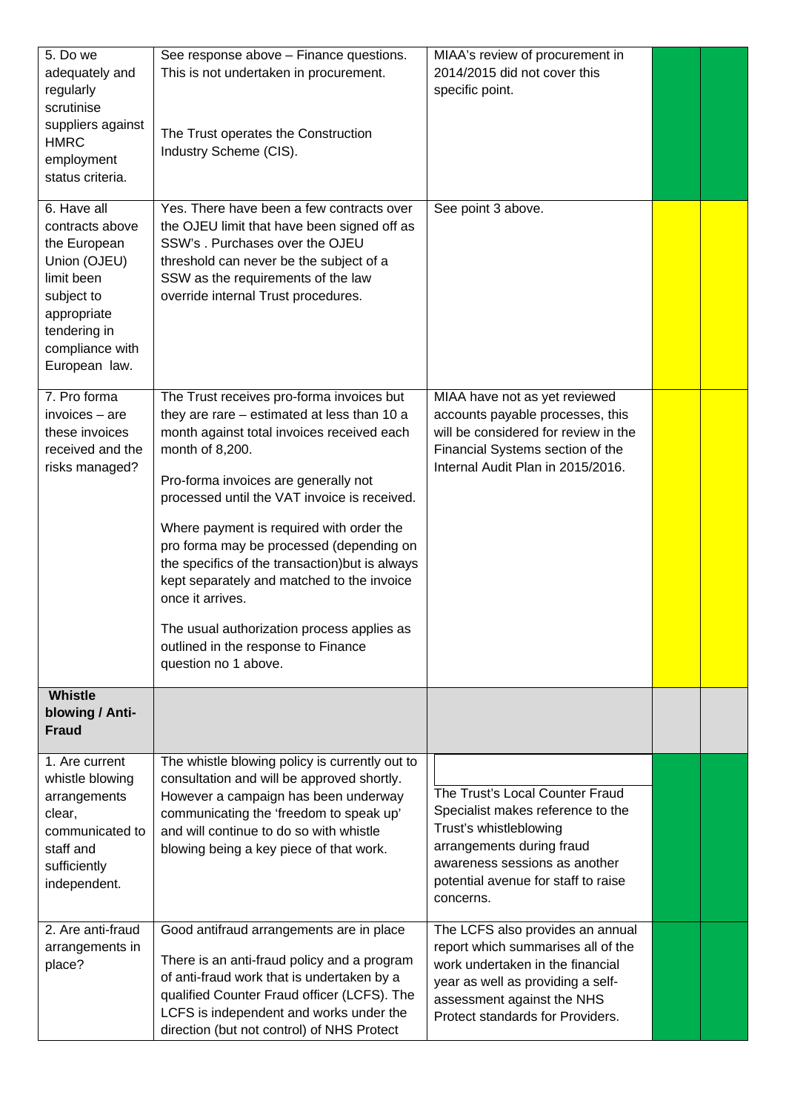| 5. Do we<br>adequately and<br>regularly<br>scrutinise<br>suppliers against<br><b>HMRC</b><br>employment<br>status criteria.                                   | See response above - Finance questions.<br>This is not undertaken in procurement.<br>The Trust operates the Construction<br>Industry Scheme (CIS).                                                                                                                                                                                                                                                                                                                                                                                                                          | MIAA's review of procurement in<br>2014/2015 did not cover this<br>specific point.                                                                                                                                |  |
|---------------------------------------------------------------------------------------------------------------------------------------------------------------|-----------------------------------------------------------------------------------------------------------------------------------------------------------------------------------------------------------------------------------------------------------------------------------------------------------------------------------------------------------------------------------------------------------------------------------------------------------------------------------------------------------------------------------------------------------------------------|-------------------------------------------------------------------------------------------------------------------------------------------------------------------------------------------------------------------|--|
| 6. Have all<br>contracts above<br>the European<br>Union (OJEU)<br>limit been<br>subject to<br>appropriate<br>tendering in<br>compliance with<br>European law. | Yes. There have been a few contracts over<br>the OJEU limit that have been signed off as<br>SSW's . Purchases over the OJEU<br>threshold can never be the subject of a<br>SSW as the requirements of the law<br>override internal Trust procedures.                                                                                                                                                                                                                                                                                                                         | See point 3 above.                                                                                                                                                                                                |  |
| 7. Pro forma<br>invoices - are<br>these invoices<br>received and the<br>risks managed?                                                                        | The Trust receives pro-forma invoices but<br>they are rare - estimated at less than 10 a<br>month against total invoices received each<br>month of 8,200.<br>Pro-forma invoices are generally not<br>processed until the VAT invoice is received.<br>Where payment is required with order the<br>pro forma may be processed (depending on<br>the specifics of the transaction) but is always<br>kept separately and matched to the invoice<br>once it arrives.<br>The usual authorization process applies as<br>outlined in the response to Finance<br>question no 1 above. | MIAA have not as yet reviewed<br>accounts payable processes, this<br>will be considered for review in the<br>Financial Systems section of the<br>Internal Audit Plan in 2015/2016.                                |  |
| <b>Whistle</b><br>blowing / Anti-<br><b>Fraud</b>                                                                                                             |                                                                                                                                                                                                                                                                                                                                                                                                                                                                                                                                                                             |                                                                                                                                                                                                                   |  |
| 1. Are current<br>whistle blowing<br>arrangements<br>clear,<br>communicated to<br>staff and<br>sufficiently<br>independent.                                   | The whistle blowing policy is currently out to<br>consultation and will be approved shortly.<br>However a campaign has been underway<br>communicating the 'freedom to speak up'<br>and will continue to do so with whistle<br>blowing being a key piece of that work.                                                                                                                                                                                                                                                                                                       | The Trust's Local Counter Fraud<br>Specialist makes reference to the<br>Trust's whistleblowing<br>arrangements during fraud<br>awareness sessions as another<br>potential avenue for staff to raise<br>concerns.  |  |
| 2. Are anti-fraud<br>arrangements in<br>place?                                                                                                                | Good antifraud arrangements are in place<br>There is an anti-fraud policy and a program<br>of anti-fraud work that is undertaken by a<br>qualified Counter Fraud officer (LCFS). The<br>LCFS is independent and works under the<br>direction (but not control) of NHS Protect                                                                                                                                                                                                                                                                                               | The LCFS also provides an annual<br>report which summarises all of the<br>work undertaken in the financial<br>year as well as providing a self-<br>assessment against the NHS<br>Protect standards for Providers. |  |